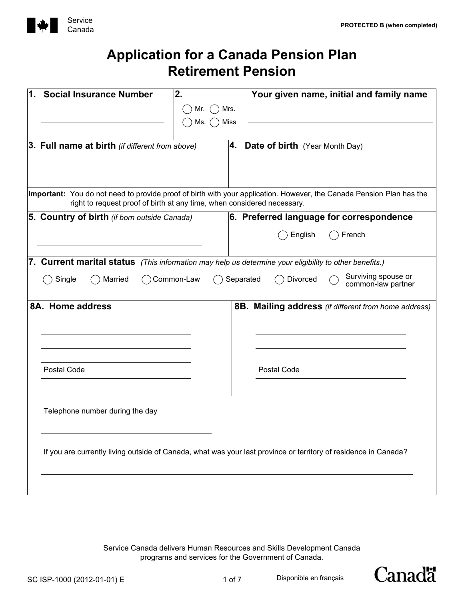

| 1.<br><b>Social Insurance Number</b>                                                                                                                                                            | 2.         |           |                                          | Your given name, initial and family name             |  |
|-------------------------------------------------------------------------------------------------------------------------------------------------------------------------------------------------|------------|-----------|------------------------------------------|------------------------------------------------------|--|
|                                                                                                                                                                                                 | Mr.        | Mrs.      |                                          |                                                      |  |
|                                                                                                                                                                                                 | Ms.        | Miss      |                                          |                                                      |  |
|                                                                                                                                                                                                 |            |           |                                          |                                                      |  |
| <b>3. Full name at birth</b> (if different from above)                                                                                                                                          |            |           | <b>4.</b> Date of birth (Year Month Day) |                                                      |  |
|                                                                                                                                                                                                 |            |           |                                          |                                                      |  |
|                                                                                                                                                                                                 |            |           |                                          |                                                      |  |
| Important: You do not need to provide proof of birth with your application. However, the Canada Pension Plan has the<br>right to request proof of birth at any time, when considered necessary. |            |           |                                          |                                                      |  |
| 5. Country of birth (if born outside Canada)                                                                                                                                                    |            |           |                                          | 6. Preferred language for correspondence             |  |
|                                                                                                                                                                                                 |            |           | English                                  | French                                               |  |
| 7. Current marital status (This information may help us determine your eligibility to other benefits.)                                                                                          |            |           |                                          |                                                      |  |
| Married<br>Single                                                                                                                                                                               | Common-Law | Separated | Divorced                                 | Surviving spouse or<br>common-law partner            |  |
| 8A. Home address                                                                                                                                                                                |            |           |                                          | 8B. Mailing address (if different from home address) |  |
|                                                                                                                                                                                                 |            |           |                                          |                                                      |  |
|                                                                                                                                                                                                 |            |           |                                          |                                                      |  |
|                                                                                                                                                                                                 |            |           |                                          |                                                      |  |
| Postal Code                                                                                                                                                                                     |            |           | Postal Code                              |                                                      |  |
|                                                                                                                                                                                                 |            |           |                                          |                                                      |  |
|                                                                                                                                                                                                 |            |           |                                          |                                                      |  |
| Telephone number during the day                                                                                                                                                                 |            |           |                                          |                                                      |  |
|                                                                                                                                                                                                 |            |           |                                          |                                                      |  |
|                                                                                                                                                                                                 |            |           |                                          |                                                      |  |
| If you are currently living outside of Canada, what was your last province or territory of residence in Canada?                                                                                 |            |           |                                          |                                                      |  |
|                                                                                                                                                                                                 |            |           |                                          |                                                      |  |
|                                                                                                                                                                                                 |            |           |                                          |                                                      |  |

Service Canada delivers Human Resources and Skills Development Canada programs and services for the Government of Canada.



Disponible en français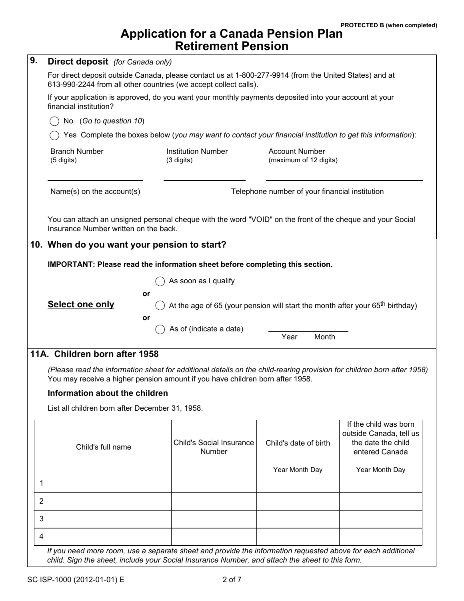| 9. | <b>Direct deposit</b> (for Canada only)                                                                                                                                                                                                                                                                                                                                                                                                                |                                           |                                                 |                                                                                          |  |  |  |
|----|--------------------------------------------------------------------------------------------------------------------------------------------------------------------------------------------------------------------------------------------------------------------------------------------------------------------------------------------------------------------------------------------------------------------------------------------------------|-------------------------------------------|-------------------------------------------------|------------------------------------------------------------------------------------------|--|--|--|
|    | For direct deposit outside Canada, please contact us at 1-800-277-9914 (from the United States) and at<br>613-990-2244 from all other countries (we accept collect calls).<br>If your application is approved, do you want your monthly payments deposited into your account at your<br>financial institution?<br>No (Go to question 10)<br>Yes Complete the boxes below (you may want to contact your financial institution to get this information): |                                           |                                                 |                                                                                          |  |  |  |
|    |                                                                                                                                                                                                                                                                                                                                                                                                                                                        |                                           |                                                 |                                                                                          |  |  |  |
|    |                                                                                                                                                                                                                                                                                                                                                                                                                                                        |                                           |                                                 |                                                                                          |  |  |  |
|    |                                                                                                                                                                                                                                                                                                                                                                                                                                                        |                                           |                                                 |                                                                                          |  |  |  |
|    | <b>Branch Number</b><br>(5 digits)                                                                                                                                                                                                                                                                                                                                                                                                                     | <b>Institution Number</b><br>(3 digits)   | <b>Account Number</b><br>(maximum of 12 digits) |                                                                                          |  |  |  |
|    | Name(s) on the account(s)<br>Telephone number of your financial institution                                                                                                                                                                                                                                                                                                                                                                            |                                           |                                                 |                                                                                          |  |  |  |
|    | You can attach an unsigned personal cheque with the word "VOID" on the front of the cheque and your Social<br>Insurance Number written on the back.                                                                                                                                                                                                                                                                                                    |                                           |                                                 |                                                                                          |  |  |  |
|    | 10. When do you want your pension to start?                                                                                                                                                                                                                                                                                                                                                                                                            |                                           |                                                 |                                                                                          |  |  |  |
|    |                                                                                                                                                                                                                                                                                                                                                                                                                                                        |                                           |                                                 |                                                                                          |  |  |  |
|    | IMPORTANT: Please read the information sheet before completing this section.<br>As soon as I qualify                                                                                                                                                                                                                                                                                                                                                   |                                           |                                                 |                                                                                          |  |  |  |
|    | or<br><b>Select one only</b><br>At the age of 65 (your pension will start the month after your 65 <sup>th</sup> birthday)                                                                                                                                                                                                                                                                                                                              |                                           |                                                 |                                                                                          |  |  |  |
|    |                                                                                                                                                                                                                                                                                                                                                                                                                                                        |                                           |                                                 |                                                                                          |  |  |  |
|    |                                                                                                                                                                                                                                                                                                                                                                                                                                                        |                                           |                                                 |                                                                                          |  |  |  |
|    | or                                                                                                                                                                                                                                                                                                                                                                                                                                                     | As of (indicate a date)                   | Year<br>Month                                   |                                                                                          |  |  |  |
|    | 11A. Children born after 1958                                                                                                                                                                                                                                                                                                                                                                                                                          |                                           |                                                 |                                                                                          |  |  |  |
|    | (Please read the information sheet for additional details on the child-rearing provision for children born after 1958)<br>You may receive a higher pension amount if you have children born after 1958.                                                                                                                                                                                                                                                |                                           |                                                 |                                                                                          |  |  |  |
|    | Information about the children                                                                                                                                                                                                                                                                                                                                                                                                                         |                                           |                                                 |                                                                                          |  |  |  |
|    | List all children born after December 31, 1958.                                                                                                                                                                                                                                                                                                                                                                                                        |                                           |                                                 |                                                                                          |  |  |  |
|    | Child's full name                                                                                                                                                                                                                                                                                                                                                                                                                                      | <b>Child's Social Insurance</b><br>Number | Child's date of birth                           | If the child was born<br>outside Canada, tell us<br>the date the child<br>entered Canada |  |  |  |
|    |                                                                                                                                                                                                                                                                                                                                                                                                                                                        |                                           | Year Month Day                                  | Year Month Day                                                                           |  |  |  |
| 1  |                                                                                                                                                                                                                                                                                                                                                                                                                                                        |                                           |                                                 |                                                                                          |  |  |  |
| 2  |                                                                                                                                                                                                                                                                                                                                                                                                                                                        |                                           |                                                 |                                                                                          |  |  |  |
| 3  |                                                                                                                                                                                                                                                                                                                                                                                                                                                        |                                           |                                                 |                                                                                          |  |  |  |
| 4  |                                                                                                                                                                                                                                                                                                                                                                                                                                                        |                                           |                                                 |                                                                                          |  |  |  |

*child. Sign the sheet, include your Social Insurance Number, and attach the sheet to this form.*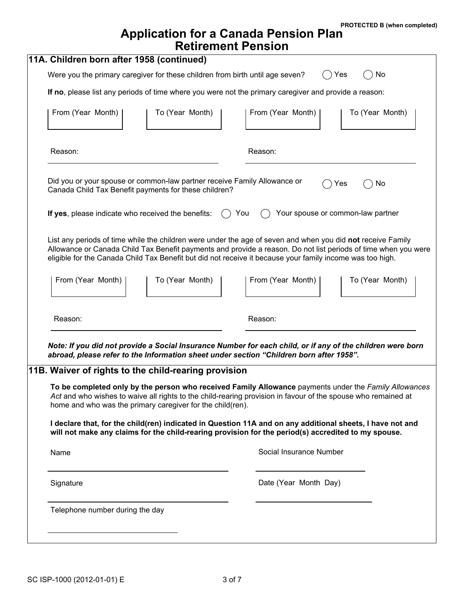**PROTECTED B (when completed)**

## **Application for a Canada Pension Plan Retirement Pension**

| 11A. Children born after 1958 (continued)                                                                                                                                                                                                                                                                                                  |                                                                                                       |  |  |  |  |
|--------------------------------------------------------------------------------------------------------------------------------------------------------------------------------------------------------------------------------------------------------------------------------------------------------------------------------------------|-------------------------------------------------------------------------------------------------------|--|--|--|--|
| Were you the primary caregiver for these children from birth until age seven?                                                                                                                                                                                                                                                              | No<br>Yes                                                                                             |  |  |  |  |
| If no, please list any periods of time where you were not the primary caregiver and provide a reason:                                                                                                                                                                                                                                      |                                                                                                       |  |  |  |  |
| From (Year Month)<br>To (Year Month)                                                                                                                                                                                                                                                                                                       | From (Year Month)<br>To (Year Month)                                                                  |  |  |  |  |
| Reason:                                                                                                                                                                                                                                                                                                                                    | Reason:                                                                                               |  |  |  |  |
| Did you or your spouse or common-law partner receive Family Allowance or<br>Canada Child Tax Benefit payments for these children?                                                                                                                                                                                                          | No<br>Yes                                                                                             |  |  |  |  |
| Your spouse or common-law partner<br>If yes, please indicate who received the benefits:<br>You                                                                                                                                                                                                                                             |                                                                                                       |  |  |  |  |
| List any periods of time while the children were under the age of seven and when you did not receive Family<br>Allowance or Canada Child Tax Benefit payments and provide a reason. Do not list periods of time when you were<br>eligible for the Canada Child Tax Benefit but did not receive it because your family income was too high. |                                                                                                       |  |  |  |  |
| From (Year Month)<br>To (Year Month)                                                                                                                                                                                                                                                                                                       | From (Year Month)<br>To (Year Month)                                                                  |  |  |  |  |
| Reason:                                                                                                                                                                                                                                                                                                                                    | Reason:                                                                                               |  |  |  |  |
| Note: If you did not provide a Social Insurance Number for each child, or if any of the children were born<br>abroad, please refer to the Information sheet under section "Children born after 1958".                                                                                                                                      |                                                                                                       |  |  |  |  |
| 11B. Waiver of rights to the child-rearing provision                                                                                                                                                                                                                                                                                       |                                                                                                       |  |  |  |  |
| Act and who wishes to waive all rights to the child-rearing provision in favour of the spouse who remained at<br>home and who was the primary caregiver for the child(ren).                                                                                                                                                                | To be completed only by the person who received Family Allowance payments under the Family Allowances |  |  |  |  |
| I declare that, for the child(ren) indicated in Question 11A and on any additional sheets, I have not and<br>will not make any claims for the child-rearing provision for the period(s) accredited to my spouse.                                                                                                                           |                                                                                                       |  |  |  |  |
| Name                                                                                                                                                                                                                                                                                                                                       | Social Insurance Number                                                                               |  |  |  |  |
| Signature                                                                                                                                                                                                                                                                                                                                  | Date (Year Month Day)                                                                                 |  |  |  |  |
| Telephone number during the day                                                                                                                                                                                                                                                                                                            |                                                                                                       |  |  |  |  |
|                                                                                                                                                                                                                                                                                                                                            |                                                                                                       |  |  |  |  |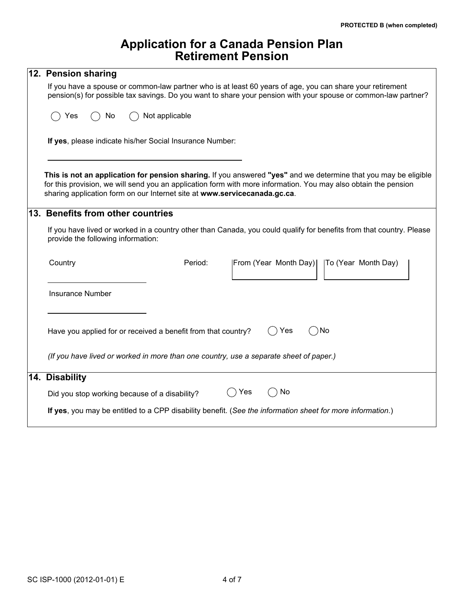| 12. Pension sharing                                                                                                                                                                                                                                                                                             |  |  |  |  |  |
|-----------------------------------------------------------------------------------------------------------------------------------------------------------------------------------------------------------------------------------------------------------------------------------------------------------------|--|--|--|--|--|
| If you have a spouse or common-law partner who is at least 60 years of age, you can share your retirement<br>pension(s) for possible tax savings. Do you want to share your pension with your spouse or common-law partner?                                                                                     |  |  |  |  |  |
| Not applicable<br>Yes<br>No                                                                                                                                                                                                                                                                                     |  |  |  |  |  |
| If yes, please indicate his/her Social Insurance Number:                                                                                                                                                                                                                                                        |  |  |  |  |  |
| This is not an application for pension sharing. If you answered "yes" and we determine that you may be eligible<br>for this provision, we will send you an application form with more information. You may also obtain the pension<br>sharing application form on our Internet site at www.servicecanada.gc.ca. |  |  |  |  |  |
| 13. Benefits from other countries                                                                                                                                                                                                                                                                               |  |  |  |  |  |
| If you have lived or worked in a country other than Canada, you could qualify for benefits from that country. Please<br>provide the following information:                                                                                                                                                      |  |  |  |  |  |
| Country<br>Period:<br>From (Year Month Day)<br> To (Year Month Day)                                                                                                                                                                                                                                             |  |  |  |  |  |
| <b>Insurance Number</b>                                                                                                                                                                                                                                                                                         |  |  |  |  |  |
| Yes<br>) No<br>Have you applied for or received a benefit from that country?                                                                                                                                                                                                                                    |  |  |  |  |  |
| (If you have lived or worked in more than one country, use a separate sheet of paper.)                                                                                                                                                                                                                          |  |  |  |  |  |
| 14. Disability                                                                                                                                                                                                                                                                                                  |  |  |  |  |  |
| Yes<br>No<br>Did you stop working because of a disability?                                                                                                                                                                                                                                                      |  |  |  |  |  |
| If yes, you may be entitled to a CPP disability benefit. (See the information sheet for more information.)                                                                                                                                                                                                      |  |  |  |  |  |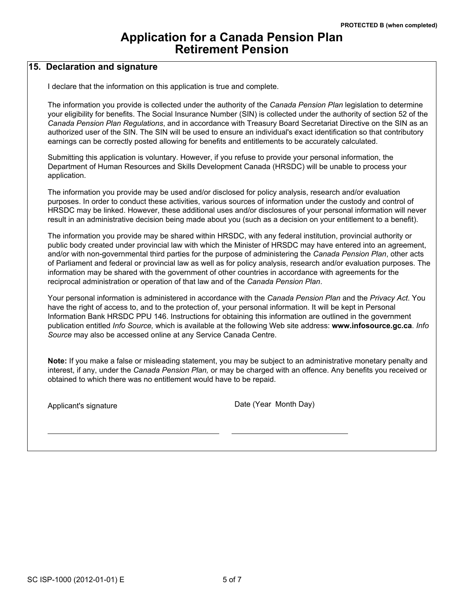#### **15. Declaration and signature**

I declare that the information on this application is true and complete.

The information you provide is collected under the authority of the *Canada Pension Plan* legislation to determine your eligibility for benefits. The Social Insurance Number (SIN) is collected under the authority of section 52 of the *Canada Pension Plan Regulations*, and in accordance with Treasury Board Secretariat Directive on the SIN as an authorized user of the SIN. The SIN will be used to ensure an individual's exact identification so that contributory earnings can be correctly posted allowing for benefits and entitlements to be accurately calculated.

Submitting this application is voluntary. However, if you refuse to provide your personal information, the Department of Human Resources and Skills Development Canada (HRSDC) will be unable to process your application.

The information you provide may be used and/or disclosed for policy analysis, research and/or evaluation purposes. In order to conduct these activities, various sources of information under the custody and control of HRSDC may be linked. However, these additional uses and/or disclosures of your personal information will never result in an administrative decision being made about you (such as a decision on your entitlement to a benefit).

The information you provide may be shared within HRSDC, with any federal institution, provincial authority or public body created under provincial law with which the Minister of HRSDC may have entered into an agreement, and/or with non-governmental third parties for the purpose of administering the *Canada Pension Plan*, other acts of Parliament and federal or provincial law as well as for policy analysis, research and/or evaluation purposes. The information may be shared with the government of other countries in accordance with agreements for the reciprocal administration or operation of that law and of the *Canada Pension Plan*.

Your personal information is administered in accordance with the *Canada Pension Plan* and the *Privacy Act*. You have the right of access to, and to the protection of, your personal information. It will be kept in Personal Information Bank HRSDC PPU 146. Instructions for obtaining this information are outlined in the government publication entitled *Info Source,* which is available at the following Web site address: **www.infosource.gc.ca**. *Info Source* may also be accessed online at any Service Canada Centre.

**Note:** If you make a false or misleading statement, you may be subject to an administrative monetary penalty and interest, if any, under the *Canada Pension Plan,* or may be charged with an offence. Any benefits you received or obtained to which there was no entitlement would have to be repaid.

Applicant's signature **Date (Sear Month Day)**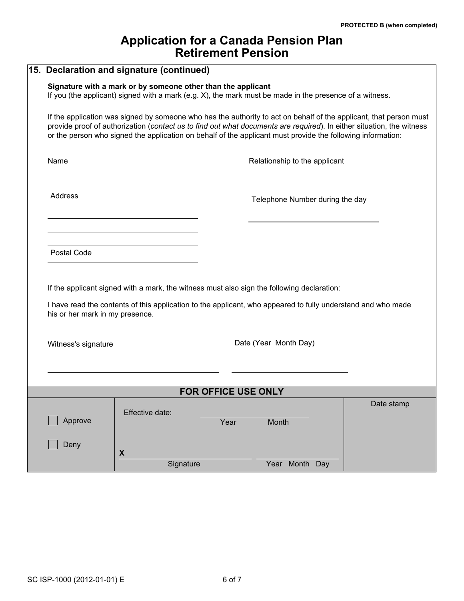|                                 | 15. Declaration and signature (continued)                                                                                                                                                                                                                                                                                                                  |            |  |  |  |  |
|---------------------------------|------------------------------------------------------------------------------------------------------------------------------------------------------------------------------------------------------------------------------------------------------------------------------------------------------------------------------------------------------------|------------|--|--|--|--|
|                                 | Signature with a mark or by someone other than the applicant<br>If you (the applicant) signed with a mark (e.g. X), the mark must be made in the presence of a witness.                                                                                                                                                                                    |            |  |  |  |  |
|                                 | If the application was signed by someone who has the authority to act on behalf of the applicant, that person must<br>provide proof of authorization (contact us to find out what documents are required). In either situation, the witness<br>or the person who signed the application on behalf of the applicant must provide the following information: |            |  |  |  |  |
| Name                            | Relationship to the applicant                                                                                                                                                                                                                                                                                                                              |            |  |  |  |  |
| Address                         | Telephone Number during the day                                                                                                                                                                                                                                                                                                                            |            |  |  |  |  |
| Postal Code                     |                                                                                                                                                                                                                                                                                                                                                            |            |  |  |  |  |
| his or her mark in my presence. | If the applicant signed with a mark, the witness must also sign the following declaration:<br>I have read the contents of this application to the applicant, who appeared to fully understand and who made                                                                                                                                                 |            |  |  |  |  |
| Witness's signature             | Date (Year Month Day)                                                                                                                                                                                                                                                                                                                                      |            |  |  |  |  |
|                                 |                                                                                                                                                                                                                                                                                                                                                            |            |  |  |  |  |
| FOR OFFICE USE ONLY             |                                                                                                                                                                                                                                                                                                                                                            |            |  |  |  |  |
| Approve                         | Effective date:<br>Month<br>Year                                                                                                                                                                                                                                                                                                                           | Date stamp |  |  |  |  |
| Deny                            | X                                                                                                                                                                                                                                                                                                                                                          |            |  |  |  |  |
|                                 | Signature<br>Year Month Day                                                                                                                                                                                                                                                                                                                                |            |  |  |  |  |